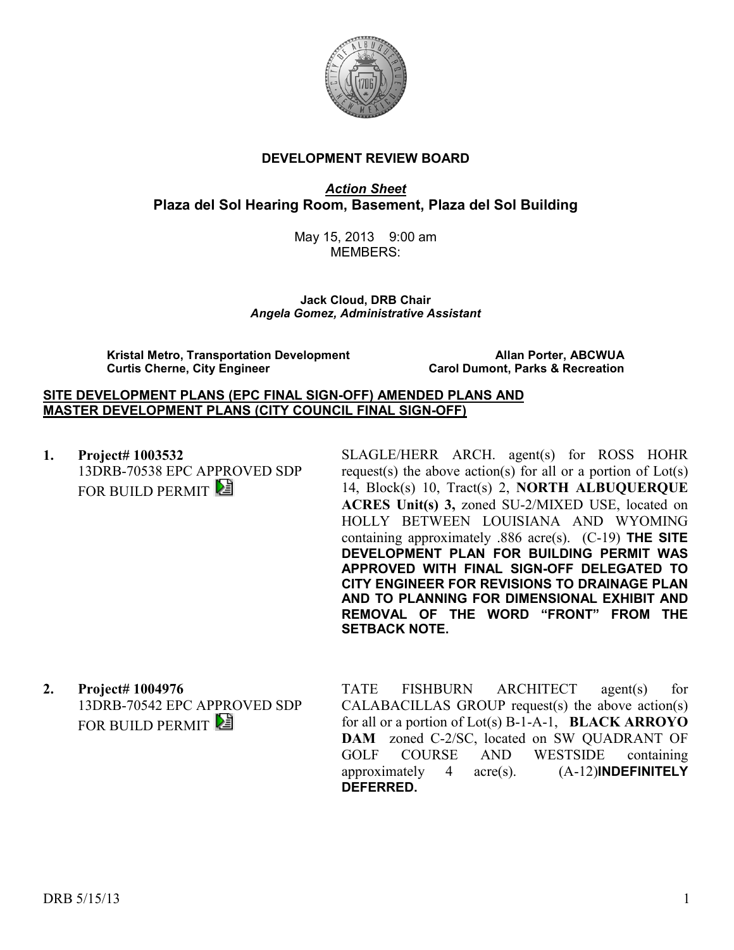

#### **DEVELOPMENT REVIEW BOARD**

*Action Sheet* **Plaza del Sol Hearing Room, Basement, Plaza del Sol Building** 

> May 15, 2013 9:00 am MEMBERS:

**Jack Cloud, DRB Chair**  *Angela Gomez, Administrative Assistant* 

**Kristal Metro, Transportation Development**<br>Carol Dumont, Parks & Recreation Curtis Cherne, City Engineer **Allan Portes Carol Dumont, Parks & Recreation** 

**Carol Dumont, Parks & Recreation** 

#### **SITE DEVELOPMENT PLANS (EPC FINAL SIGN-OFF) AMENDED PLANS AND MASTER DEVELOPMENT PLANS (CITY COUNCIL FINAL SIGN-OFF)**

**1. Project# 1003532** 13DRB-70538 EPC APPROVED SDP FOR BUILD PERMIT

SLAGLE/HERR ARCH. agent(s) for ROSS HOHR request(s) the above action(s) for all or a portion of  $Lot(s)$ 14, Block(s) 10, Tract(s) 2, **NORTH ALBUQUERQUE ACRES Unit(s) 3,** zoned SU-2/MIXED USE, located on HOLLY BETWEEN LOUISIANA AND WYOMING containing approximately .886 acre(s). (C-19) **THE SITE DEVELOPMENT PLAN FOR BUILDING PERMIT WAS APPROVED WITH FINAL SIGN-OFF DELEGATED TO CITY ENGINEER FOR REVISIONS TO DRAINAGE PLAN AND TO PLANNING FOR DIMENSIONAL EXHIBIT AND REMOVAL OF THE WORD "FRONT" FROM THE SETBACK NOTE.** 

**2. Project# 1004976** 13DRB-70542 EPC APPROVED SDP FOR BUILD PERMIT

TATE FISHBURN ARCHITECT agent(s) for CALABACILLAS GROUP request(s) the above action(s) for all or a portion of Lot(s) B-1-A-1, **BLACK ARROYO DAM** zoned C-2/SC, located on SW QUADRANT OF GOLF COURSE AND WESTSIDE containing approximately 4 acre(s). (A-12)**INDEFINITELY DEFERRED.**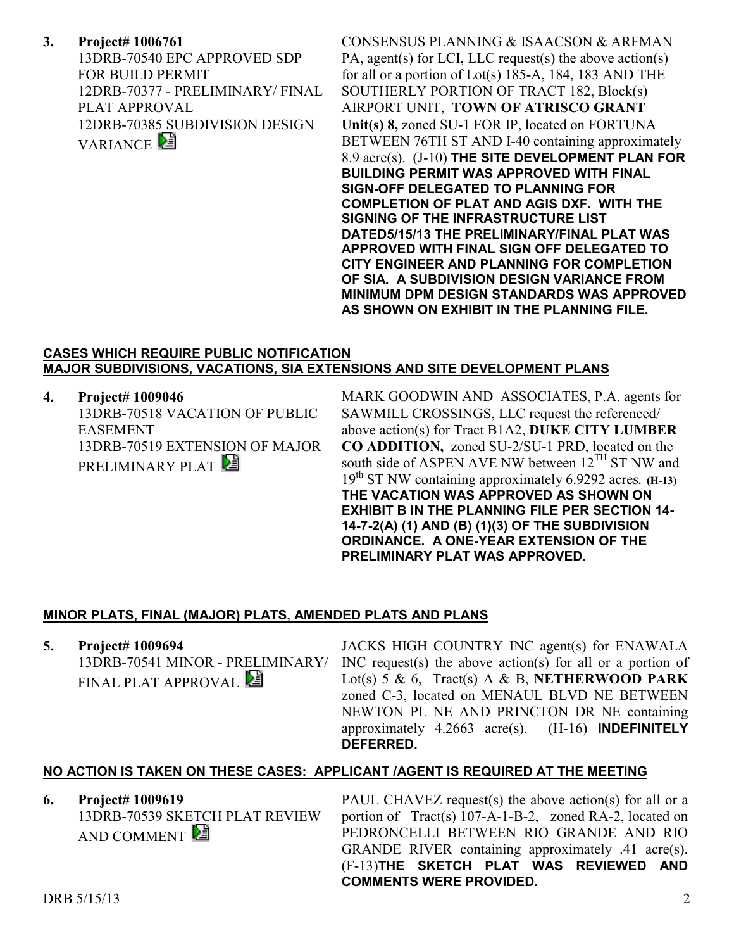**3. Project# 1006761** 13DRB-70540 EPC APPROVED SDP FOR BUILD PERMIT 12DRB-70377 - PRELIMINARY/ FINAL PLAT APPROVAL 12DRB-70385 SUBDIVISION DESIGN VARIANCE<sup>[2</sup>]

CONSENSUS PLANNING & ISAACSON & ARFMAN PA, agent(s) for LCI, LLC request(s) the above action(s) for all or a portion of Lot(s) 185-A, 184, 183 AND THE SOUTHERLY PORTION OF TRACT 182, Block(s) AIRPORT UNIT, **TOWN OF ATRISCO GRANT Unit(s) 8,** zoned SU-1 FOR IP, located on FORTUNA BETWEEN 76TH ST AND I-40 containing approximately 8.9 acre(s). (J-10) **THE SITE DEVELOPMENT PLAN FOR BUILDING PERMIT WAS APPROVED WITH FINAL SIGN-OFF DELEGATED TO PLANNING FOR COMPLETION OF PLAT AND AGIS DXF. WITH THE SIGNING OF THE INFRASTRUCTURE LIST DATED5/15/13 THE PRELIMINARY/FINAL PLAT WAS APPROVED WITH FINAL SIGN OFF DELEGATED TO CITY ENGINEER AND PLANNING FOR COMPLETION OF SIA. A SUBDIVISION DESIGN VARIANCE FROM MINIMUM DPM DESIGN STANDARDS WAS APPROVED AS SHOWN ON EXHIBIT IN THE PLANNING FILE.** 

## **CASES WHICH REQUIRE PUBLIC NOTIFICATION MAJOR SUBDIVISIONS, VACATIONS, SIA EXTENSIONS AND SITE DEVELOPMENT PLANS**

**4. Project# 1009046** 13DRB-70518 VACATION OF PUBLIC EASEMENT 13DRB-70519 EXTENSION OF MAJOR PRELIMINARY PLAT

MARK GOODWIN AND ASSOCIATES, P.A. agents for SAWMILL CROSSINGS, LLC request the referenced/ above action(s) for Tract B1A2, **DUKE CITY LUMBER CO ADDITION,** zoned SU-2/SU-1 PRD, located on the south side of ASPEN AVE NW between  $12^{TH}$  ST NW and 19th ST NW containing approximately 6.9292 acres**. (H-13) THE VACATION WAS APPROVED AS SHOWN ON EXHIBIT B IN THE PLANNING FILE PER SECTION 14- 14-7-2(A) (1) AND (B) (1)(3) OF THE SUBDIVISION ORDINANCE. A ONE-YEAR EXTENSION OF THE PRELIMINARY PLAT WAS APPROVED.** 

# **MINOR PLATS, FINAL (MAJOR) PLATS, AMENDED PLATS AND PLANS**

**5. Project# 1009694** 13DRB-70541 MINOR - PRELIMINARY/ FINAL PLAT APPROVAL JACKS HIGH COUNTRY INC agent(s) for ENAWALA INC request(s) the above action(s) for all or a portion of Lot(s) 5 & 6, Tract(s) A & B, **NETHERWOOD PARK**  zoned C-3, located on MENAUL BLVD NE BETWEEN NEWTON PL NE AND PRINCTON DR NE containing approximately 4.2663 acre(s). (H-16) **INDEFINITELY DEFERRED.**

## **NO ACTION IS TAKEN ON THESE CASES: APPLICANT /AGENT IS REQUIRED AT THE MEETING**

**6. Project# 1009619** 13DRB-70539 SKETCH PLAT REVIEW AND COMMENT

PAUL CHAVEZ request(s) the above action(s) for all or a portion of Tract(s) 107-A-1-B-2, zoned RA-2, located on PEDRONCELLI BETWEEN RIO GRANDE AND RIO GRANDE RIVER containing approximately .41 acre(s). (F-13)**THE SKETCH PLAT WAS REVIEWED AND COMMENTS WERE PROVIDED.**